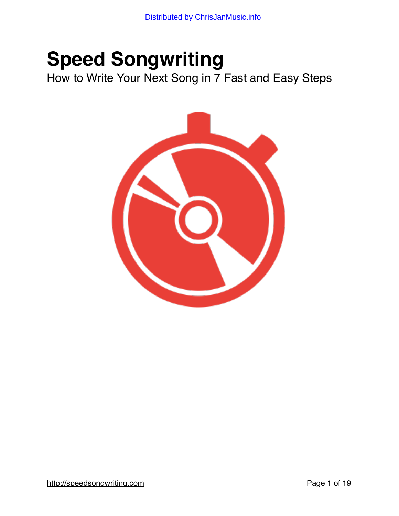# **Speed Songwriting**

How to Write Your Next Song in 7 Fast and Easy Steps

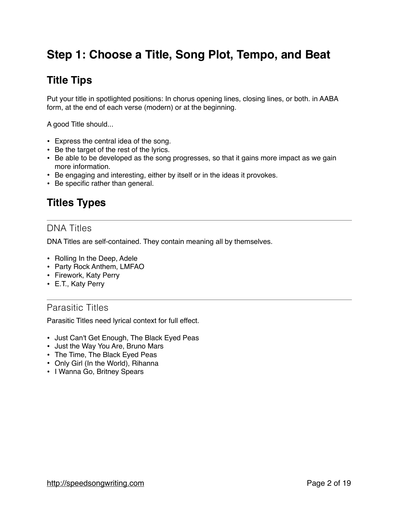# **Step 1: Choose a Title, Song Plot, Tempo, and Beat**

# **Title Tips**

Put your title in spotlighted positions: In chorus opening lines, closing lines, or both. in AABA form, at the end of each verse (modern) or at the beginning.

A good Title should...

- Express the central idea of the song.
- Be the target of the rest of the lyrics.
- Be able to be developed as the song progresses, so that it gains more impact as we gain more information.
- Be engaging and interesting, either by itself or in the ideas it provokes.
- Be specific rather than general.

# **Titles Types**

#### DNA Titles

DNA Titles are self-contained. They contain meaning all by themselves.

- Rolling In the Deep, Adele
- Party Rock Anthem, LMFAO
- Firework, Katy Perry
- E.T., Katy Perry

#### Parasitic Titles

Parasitic Titles need lyrical context for full effect.

- Just Can't Get Enough, The Black Eyed Peas
- Just the Way You Are, Bruno Mars
- The Time, The Black Eyed Peas
- Only Girl (In the World), Rihanna
- I Wanna Go, Britney Spears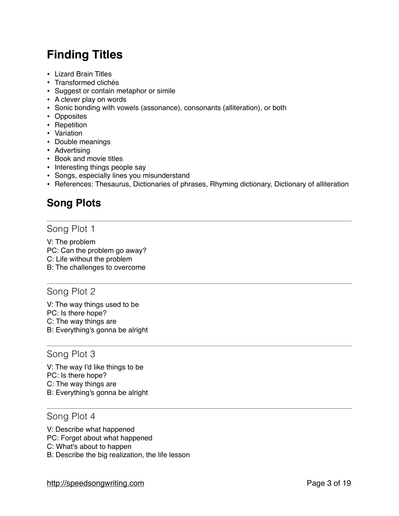# **Finding Titles**

- Lizard Brain Titles
- Transformed clichés
- Suggest or contain metaphor or simile
- A clever play on words
- Sonic bonding with vowels (assonance), consonants (alliteration), or both
- Opposites
- Repetition
- Variation
- Double meanings
- Advertising
- Book and movie titles
- Interesting things people say
- Songs, especially lines you misunderstand
- References: Thesaurus, Dictionaries of phrases, Rhyming dictionary, Dictionary of alliteration

# **Song Plots**

#### Song Plot 1

V: The problem PC: Can the problem go away? C: Life without the problem B: The challenges to overcome

#### Song Plot 2

V: The way things used to be PC: Is there hope? C: The way things are B: Everything's gonna be alright

#### Song Plot 3

V: The way I'd like things to be PC: Is there hope? C: The way things are B: Everything's gonna be alright

#### Song Plot 4

V: Describe what happened PC: Forget about what happened C: What's about to happen B: Describe the big realization, the life lesson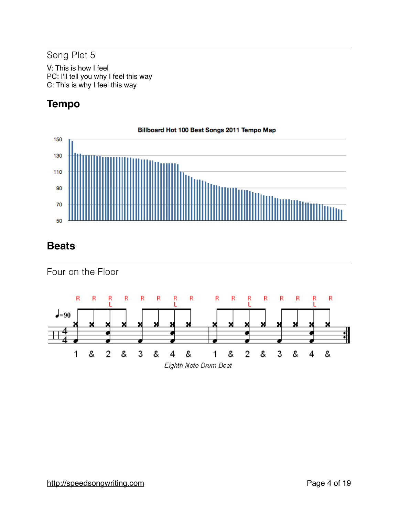### Song Plot 5

V: This is how I feel PC: I'll tell you why I feel this way C: This is why I feel this way

# **Tempo**



### **Beats**

Four on the Floor

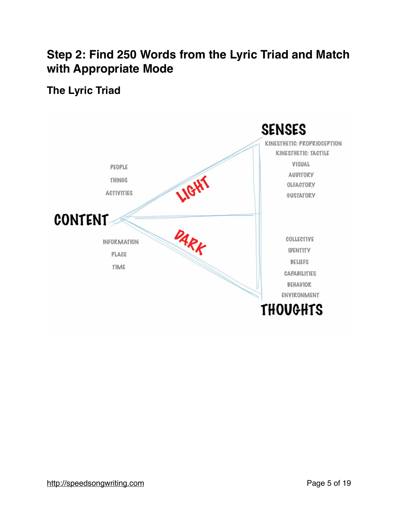# **Step 2: Find 250 Words from the Lyric Triad and Match with Appropriate Mode**

# **The Lyric Triad**

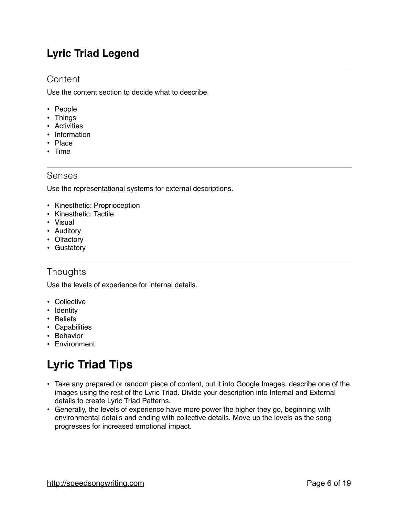# **Lyric Triad Legend**

#### **Content**

Use the content section to decide what to describe.

- People
- Things
- Activities
- Information
- Place
- Time

#### Senses

Use the representational systems for external descriptions.

- Kinesthetic: Proprioception
- Kinesthetic: Tactile
- Visual
- Auditory
- Olfactory
- Gustatory

### **Thoughts**

Use the levels of experience for internal details.

- Collective
- Identity
- Beliefs
- Capabilities
- Behavior
- Environment

# **Lyric Triad Tips**

- Take any prepared or random piece of content, put it into Google Images, describe one of the images using the rest of the Lyric Triad. Divide your description into Internal and External details to create Lyric Triad Patterns.
- Generally, the levels of experience have more power the higher they go, beginning with environmental details and ending with collective details. Move up the levels as the song progresses for increased emotional impact.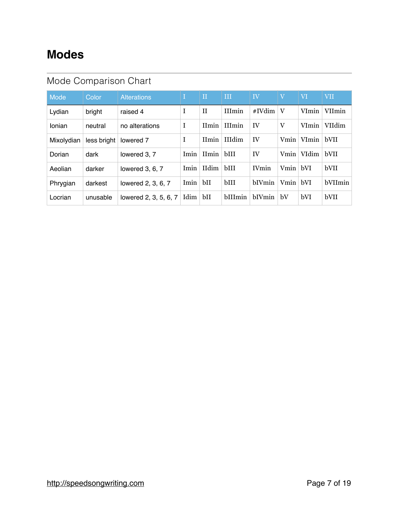# **Modes**

# Mode Comparison Chart

| Mode       | Color       | <b>Alterations</b>    | T.   | $\mathbf{H}$    | Ш             | IV            | V        | VI    | <b>VII</b> |
|------------|-------------|-----------------------|------|-----------------|---------------|---------------|----------|-------|------------|
| Lydian     | bright      | raised 4              | I    | $_{\rm II}$     | <b>IIImin</b> | #IVdim        | V        | VImin | VIImin     |
| Ionian     | neutral     | no alterations        | I    | <b>IImin</b>    | <b>IIImin</b> | IV            | V        | VImin | VIIdim     |
| Mixolydian | less bright | lowered 7             | I    |                 | IImin IIIdim  | IV            | Vmin     | VImin | bVII       |
| Dorian     | dark        | lowered 3, 7          | Imin | $I$ Imin   bIII |               | IV            | Vmin     | VIdim | bVII       |
| Aeolian    | darker      | lowered $3, 6, 7$     | Imin | IIdim           | bIII          | <b>IV</b> min | Vmin bVI |       | bVII       |
| Phrygian   | darkest     | lowered 2, 3, 6, 7    | Imin | bH              | bIII          | <b>bIVmin</b> | Vmin bVI |       | bVIImin    |
| Locrian    | unusable    | lowered 2, 3, 5, 6, 7 | Idim | bH              | bIIImin       | <b>bIVmin</b> | bV       | bVI   | bVII       |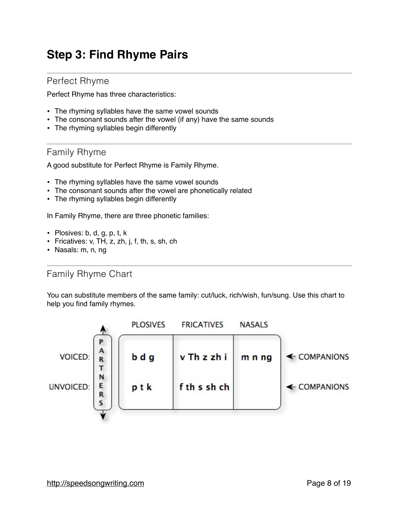# **Step 3: Find Rhyme Pairs**

#### Perfect Rhyme

Perfect Rhyme has three characteristics:

- The rhyming syllables have the same vowel sounds
- The consonant sounds after the vowel (if any) have the same sounds
- The rhyming syllables begin differently

#### Family Rhyme

A good substitute for Perfect Rhyme is Family Rhyme.

- The rhyming syllables have the same vowel sounds
- The consonant sounds after the vowel are phonetically related
- The rhyming syllables begin differently

In Family Rhyme, there are three phonetic families:

- Plosives: b, d, g, p, t, k
- Fricatives: v, TH, z, zh, j, f, th, s, sh, ch
- Nasals: m, n, ng

#### Family Rhyme Chart

You can substitute members of the same family: cut/luck, rich/wish, fun/sung. Use this chart to help you find family rhymes.

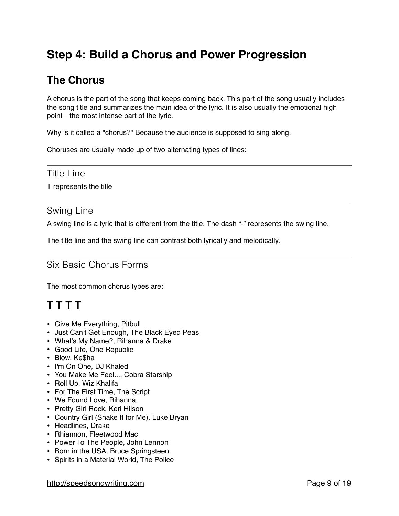# **Step 4: Build a Chorus and Power Progression**

# **The Chorus**

A chorus is the part of the song that keeps coming back. This part of the song usually includes the song title and summarizes the main idea of the lyric. It is also usually the emotional high point—the most intense part of the lyric.

Why is it called a "chorus?" Because the audience is supposed to sing along.

Choruses are usually made up of two alternating types of lines:

#### Title Line

T represents the title

#### Swing Line

A swing line is a lyric that is different from the title. The dash "-" represents the swing line.

The title line and the swing line can contrast both lyrically and melodically.

### Six Basic Chorus Forms

The most common chorus types are:

# **T T T T**

- Give Me Everything, Pitbull
- Just Can't Get Enough, The Black Eyed Peas
- What's My Name?, Rihanna & Drake
- Good Life, One Republic
- Blow, Ke\$ha
- I'm On One, DJ Khaled
- You Make Me Feel..., Cobra Starship
- Roll Up, Wiz Khalifa
- For The First Time, The Script
- We Found Love, Rihanna
- Pretty Girl Rock, Keri Hilson
- Country Girl (Shake It for Me), Luke Bryan
- Headlines, Drake
- Rhiannon, Fleetwood Mac
- Power To The People, John Lennon
- Born in the USA, Bruce Springsteen
- Spirits in a Material World, The Police

http://speedsongwriting.com extends the property of the Page 9 of 19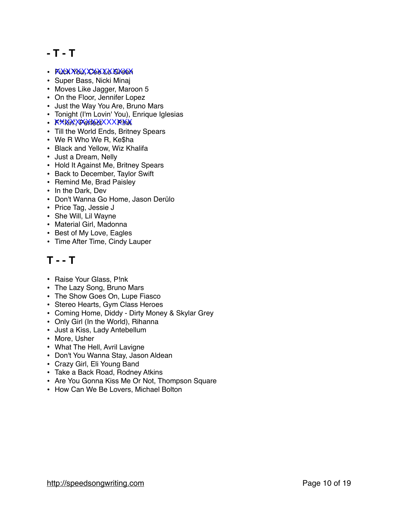# **- T - T**

- KUCK XXXXXXXXXXX<del>XXX</del>
- Super Bass, Nicki Minaj
- Moves Like Jagger, Maroon 5
- On the Floor, Jennifer Lopez
- Just the Way You Are, Bruno Mars
- Tonight (I'm Lovin' You), Enrique Iglesias
- KXXXXXXXXXXXX
- Till the World Ends, Britney Spears
- We R Who We R, Ke\$ha
- Black and Yellow, Wiz Khalifa
- Just a Dream, Nelly
- Hold It Against Me, Britney Spears
- Back to December, Taylor Swift
- Remind Me, Brad Paisley
- In the Dark, Dev
- Don't Wanna Go Home, Jason Derülo
- Price Tag, Jessie J
- She Will, Lil Wayne
- Material Girl, Madonna
- Best of My Love, Eagles
- Time After Time, Cindy Lauper

# **T - - T**

- Raise Your Glass, P!nk
- The Lazy Song, Bruno Mars
- The Show Goes On, Lupe Fiasco
- Stereo Hearts, Gym Class Heroes
- Coming Home, Diddy Dirty Money & Skylar Grey
- Only Girl (In the World), Rihanna
- Just a Kiss, Lady Antebellum
- More, Usher
- What The Hell, Avril Lavigne
- Don't You Wanna Stay, Jason Aldean
- Crazy Girl, Eli Young Band
- Take a Back Road, Rodney Atkins
- Are You Gonna Kiss Me Or Not, Thompson Square
- How Can We Be Lovers, Michael Bolton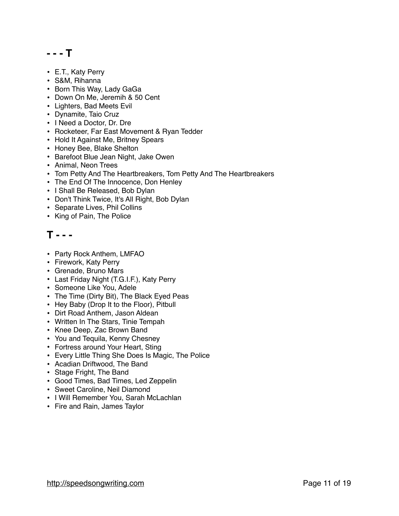### **- - - T**

- E.T., Katy Perry
- S&M, Rihanna
- Born This Way, Lady GaGa
- Down On Me, Jeremih & 50 Cent
- Lighters, Bad Meets Evil
- Dynamite, Taio Cruz
- I Need a Doctor, Dr. Dre
- Rocketeer, Far East Movement & Ryan Tedder
- Hold It Against Me, Britney Spears
- Honey Bee, Blake Shelton
- Barefoot Blue Jean Night, Jake Owen
- Animal, Neon Trees
- Tom Petty And The Heartbreakers, Tom Petty And The Heartbreakers
- The End Of The Innocence, Don Henley
- I Shall Be Released, Bob Dylan
- Don't Think Twice, It's All Right, Bob Dylan
- Separate Lives, Phil Collins
- King of Pain, The Police

### **T - - -**

- Party Rock Anthem, LMFAO
- Firework, Katy Perry
- Grenade, Bruno Mars
- Last Friday Night (T.G.I.F.), Katy Perry
- Someone Like You, Adele
- The Time (Dirty Bit), The Black Eyed Peas
- Hey Baby (Drop It to the Floor), Pitbull
- Dirt Road Anthem, Jason Aldean
- Written In The Stars, Tinie Tempah
- Knee Deep, Zac Brown Band
- You and Tequila, Kenny Chesney
- Fortress around Your Heart, Sting
- Every Little Thing She Does Is Magic, The Police
- Acadian Driftwood, The Band
- Stage Fright, The Band
- Good Times, Bad Times, Led Zeppelin
- Sweet Caroline, Neil Diamond
- I Will Remember You, Sarah McLachlan
- Fire and Rain, James Taylor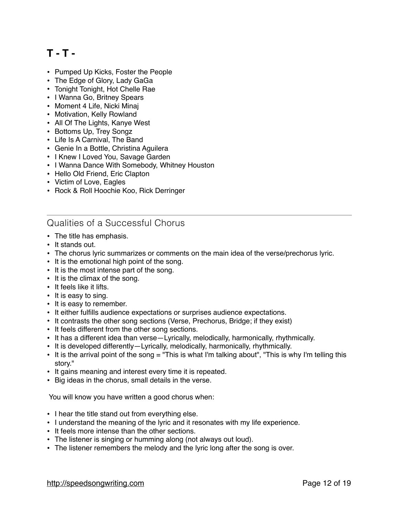# **T - T -**

- Pumped Up Kicks, Foster the People
- The Edge of Glory, Lady GaGa
- Tonight Tonight, Hot Chelle Rae
- I Wanna Go, Britney Spears
- Moment 4 Life, Nicki Minaj
- Motivation, Kelly Rowland
- All Of The Lights, Kanye West
- Bottoms Up, Trey Songz
- Life Is A Carnival, The Band
- Genie In a Bottle, Christina Aguilera
- I Knew I Loved You, Savage Garden
- I Wanna Dance With Somebody, Whitney Houston
- Hello Old Friend, Eric Clapton
- Victim of Love, Eagles
- Rock & Roll Hoochie Koo, Rick Derringer

### Qualities of a Successful Chorus

- The title has emphasis.
- It stands out.
- The chorus lyric summarizes or comments on the main idea of the verse/prechorus lyric.
- It is the emotional high point of the song.
- It is the most intense part of the song.
- It is the climax of the song.
- It feels like it lifts.
- It is easy to sing.
- It is easy to remember.
- It either fulfills audience expectations or surprises audience expectations.
- It contrasts the other song sections (Verse, Prechorus, Bridge; if they exist)
- It feels different from the other song sections.
- It has a different idea than verse—Lyrically, melodically, harmonically, rhythmically.
- It is developed differently—Lyrically, melodically, harmonically, rhythmically.
- It is the arrival point of the song = "This is what I'm talking about", "This is why I'm telling this story."
- It gains meaning and interest every time it is repeated.
- Big ideas in the chorus, small details in the verse.

You will know you have written a good chorus when:

- I hear the title stand out from everything else.
- I understand the meaning of the lyric and it resonates with my life experience.
- It feels more intense than the other sections.
- The listener is singing or humming along (not always out loud).
- The listener remembers the melody and the lyric long after the song is over.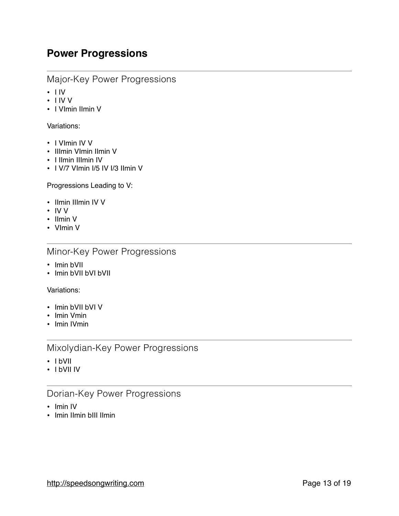### **Power Progressions**

#### Major-Key Power Progressions

- $\cdot$  I IV
- I IV V
- I VImin IImin V

#### Variations:

- I VImin IV V
- IIImin VImin IImin V
- I IImin IIImin IV
- I V/7 VImin I/5 IV I/3 IImin V

Progressions Leading to V:

- Ilmin IIImin IV V
- IV V
- IImin V
- VImin V

#### Minor-Key Power Progressions

- Imin bVII
- Imin bVII bVI bVII

Variations:

- Imin bVII bVI V
- Imin Vmin
- Imin IVmin

#### Mixolydian-Key Power Progressions

- I bVII
- I bVII IV

#### Dorian-Key Power Progressions

- Imin IV
- Imin IImin bIII IImin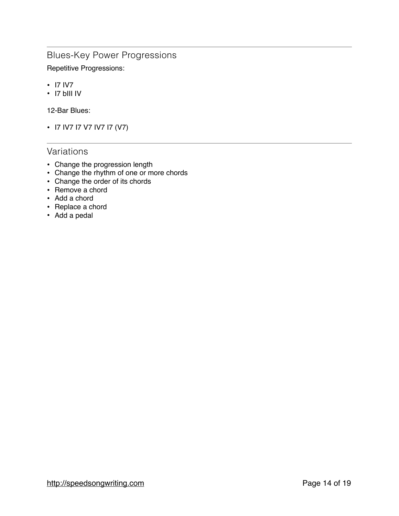### Blues-Key Power Progressions

Repetitive Progressions:

- I7 IV7
- I7 bIII IV

12-Bar Blues:

• I7 IV7 I7 V7 IV7 I7 (V7)

### Variations

- Change the progression length
- Change the rhythm of one or more chords
- Change the order of its chords
- Remove a chord
- Add a chord
- Replace a chord
- Add a pedal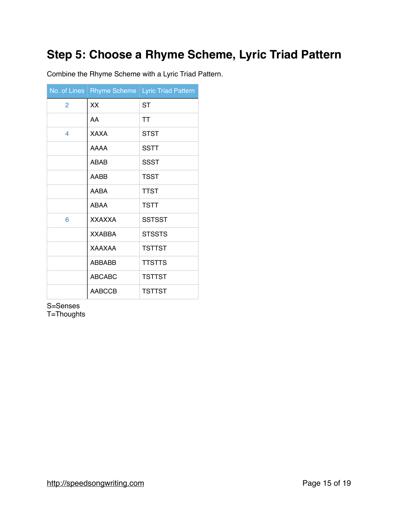# **Step 5: Choose a Rhyme Scheme, Lyric Triad Pattern**

Combine the Rhyme Scheme with a Lyric Triad Pattern.

|   | No. of Lines   Rhyme Scheme | <b>Lyric Triad Pattern</b> |
|---|-----------------------------|----------------------------|
| 2 | XX                          | <b>ST</b>                  |
|   | AA                          | <b>TT</b>                  |
| 4 | <b>XAXA</b>                 | STST                       |
|   | <b>AAAA</b>                 | <b>SSTT</b>                |
|   | <b>ABAB</b>                 | SSST                       |
|   | AABB                        | <b>TSST</b>                |
|   | AABA                        | <b>TTST</b>                |
|   | ABAA                        | <b>TSTT</b>                |
| 6 | <b>XXAXXA</b>               | <b>SSTSST</b>              |
|   | <b>XXABBA</b>               | <b>STSSTS</b>              |
|   | <b>XAAXAA</b>               | <b>TSTTST</b>              |
|   | <b>ABBABB</b>               | <b>TTSTTS</b>              |
|   | <b>ABCABC</b>               | <b>TSTTST</b>              |
|   | <b>AABCCB</b>               | <b>TSTTST</b>              |

S=Senses

T=Thoughts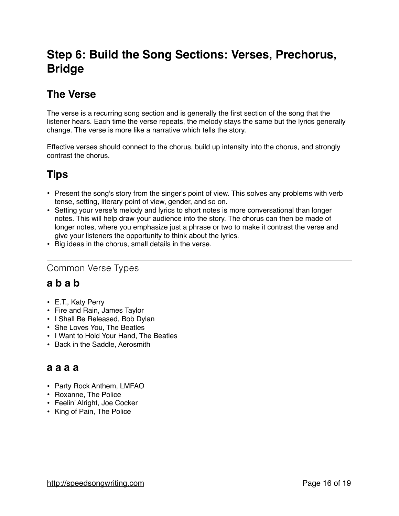# **Step 6: Build the Song Sections: Verses, Prechorus, Bridge**

# **The Verse**

The verse is a recurring song section and is generally the first section of the song that the listener hears. Each time the verse repeats, the melody stays the same but the lyrics generally change. The verse is more like a narrative which tells the story.

Effective verses should connect to the chorus, build up intensity into the chorus, and strongly contrast the chorus.

# **Tips**

- Present the song's story from the singer's point of view. This solves any problems with verb tense, setting, literary point of view, gender, and so on.
- Setting your verse's melody and lyrics to short notes is more conversational than longer notes. This will help draw your audience into the story. The chorus can then be made of longer notes, where you emphasize just a phrase or two to make it contrast the verse and give your listeners the opportunity to think about the lyrics.
- Big ideas in the chorus, small details in the verse.

### Common Verse Types

# **a b a b**

- E.T., Katy Perry
- Fire and Rain, James Taylor
- I Shall Be Released, Bob Dylan
- She Loves You, The Beatles
- I Want to Hold Your Hand, The Beatles
- Back in the Saddle, Aerosmith

### **a a a a**

- Party Rock Anthem, LMFAO
- Roxanne, The Police
- Feelin' Alright, Joe Cocker
- King of Pain, The Police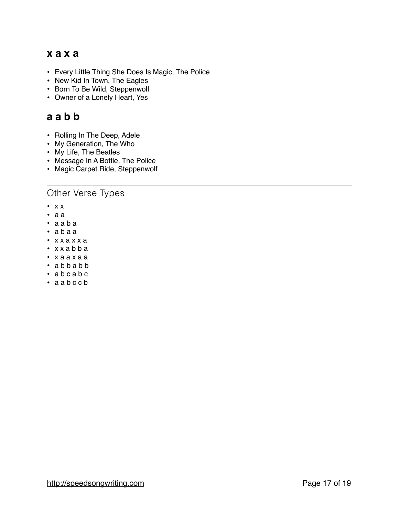### **x a x a**

- Every Little Thing She Does Is Magic, The Police
- New Kid In Town, The Eagles
- Born To Be Wild, Steppenwolf
- Owner of a Lonely Heart, Yes

### **a a b b**

- Rolling In The Deep, Adele
- My Generation, The Who
- My Life, The Beatles
- Message In A Bottle, The Police
- Magic Carpet Ride, Steppenwolf

#### Other Verse Types

- x x
- a a
- a a b a
- a b a a
- x x a x x a
- x x a b b a
- x a a x a a
- a b b a b b
- a b c a b c
- a a b c c b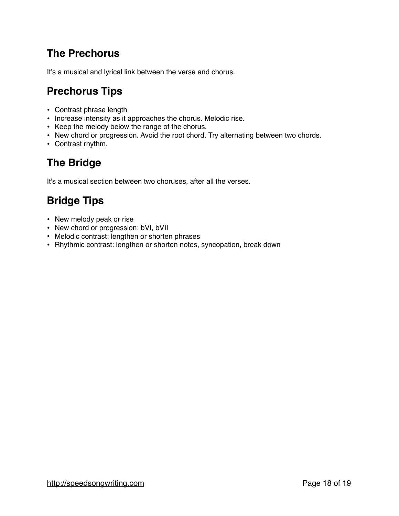# **The Prechorus**

It's a musical and lyrical link between the verse and chorus.

# **Prechorus Tips**

- Contrast phrase length
- Increase intensity as it approaches the chorus. Melodic rise.
- Keep the melody below the range of the chorus.
- New chord or progression. Avoid the root chord. Try alternating between two chords.
- Contrast rhythm.

# **The Bridge**

It's a musical section between two choruses, after all the verses.

# **Bridge Tips**

- New melody peak or rise
- New chord or progression: bVI, bVII
- Melodic contrast: lengthen or shorten phrases
- Rhythmic contrast: lengthen or shorten notes, syncopation, break down